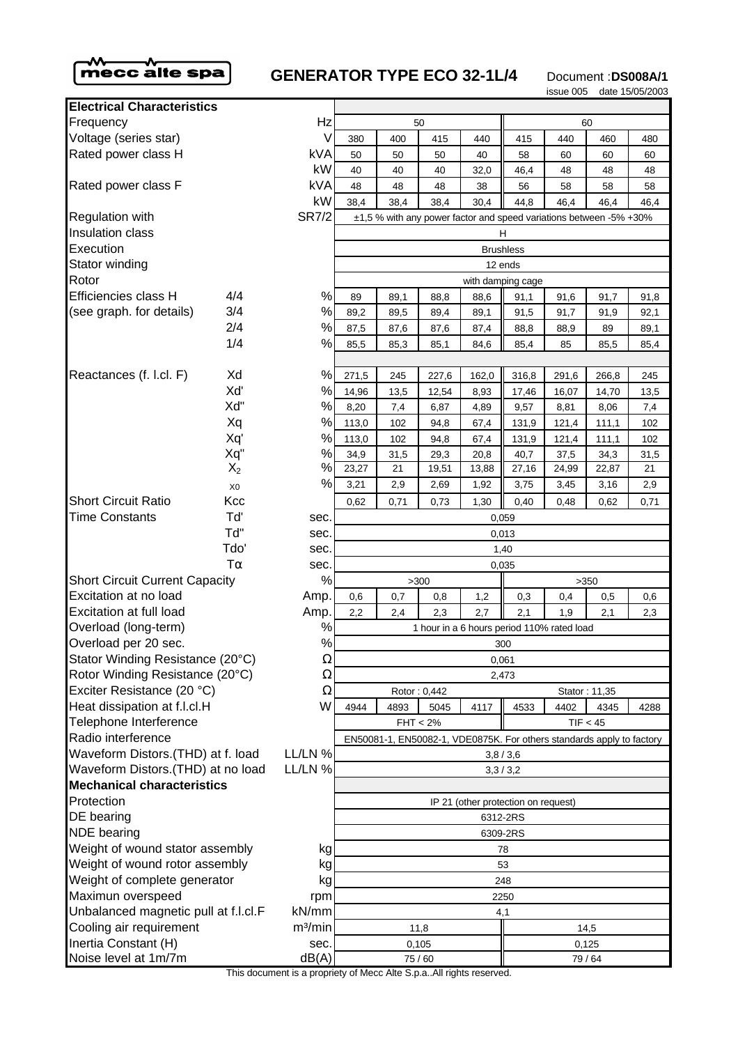

## **GENERATOR TYPE ECO 32-1L/4** Document :DS008A/1

issue 005 date 15/05/2003

| <b>Electrical Characteristics</b>            |                             |                                    |                                       |                       |                |       |  |  |  |  |
|----------------------------------------------|-----------------------------|------------------------------------|---------------------------------------|-----------------------|----------------|-------|--|--|--|--|
| Frequency                                    | Hz                          |                                    |                                       |                       |                |       |  |  |  |  |
| Voltage (series star)                        | V                           | 380                                | 440                                   |                       |                |       |  |  |  |  |
| Rated power class H                          |                             | <b>kVA</b>                         | 50                                    | 50                    | 50             | 40    |  |  |  |  |
|                                              |                             | kW                                 | 40                                    | 40                    | 40             | 32,0  |  |  |  |  |
| Rated power class F                          |                             | kVA                                | 48                                    | 48                    | 48             | 38    |  |  |  |  |
|                                              |                             | kW                                 | 38,4                                  | 38,4                  | 38,4           | 30,4  |  |  |  |  |
| <b>Regulation with</b>                       |                             | <b>SR7/2</b>                       | ±1,5 % with any power factor and spee |                       |                |       |  |  |  |  |
| Insulation class                             |                             |                                    | H.                                    |                       |                |       |  |  |  |  |
| Execution                                    |                             |                                    |                                       |                       | <b>Brushle</b> |       |  |  |  |  |
| Stator winding                               |                             |                                    | 12 end                                |                       |                |       |  |  |  |  |
| Rotor                                        |                             | with damping                       |                                       |                       |                |       |  |  |  |  |
| Efficiencies class H                         | 4/4                         | $\%$                               | 89                                    | 89,1                  | 88,8           | 88,6  |  |  |  |  |
| (see graph. for details)                     | 3/4                         | $\%$                               | 89,2                                  | 89,5                  | 89,4           | 89,1  |  |  |  |  |
|                                              | 2/4                         | $\%$                               | 87,5                                  | 87,6                  | 87,6           | 87,4  |  |  |  |  |
|                                              | 1/4                         | %                                  | 85,5                                  | 85,3                  | 85,1           | 84,6  |  |  |  |  |
|                                              |                             |                                    |                                       |                       |                |       |  |  |  |  |
| Reactances (f. l.cl. F)                      | Xd                          | %                                  | 271,5                                 | 245                   | 227,6          | 162,0 |  |  |  |  |
|                                              | Xď                          | $\%$                               | 14,96                                 | 13,5                  | 12,54          | 8,93  |  |  |  |  |
|                                              | Xd"                         | $\%$                               | 8,20                                  | 7,4                   | 6,87           | 4,89  |  |  |  |  |
|                                              | Xq                          | $\%$                               | 113,0                                 | 102                   | 94,8           | 67,4  |  |  |  |  |
|                                              | Xq'                         | $\%$                               | 113,0                                 | 102                   | 94,8           | 67,4  |  |  |  |  |
|                                              | Xq"                         | $\%$                               | 34,9                                  | 31,5                  | 29,3           | 20,8  |  |  |  |  |
|                                              | $X_2$                       | %                                  | 23,27                                 | 21                    | 19,51          | 13,88 |  |  |  |  |
|                                              | X <sub>0</sub>              | %                                  | 3,21                                  | 2,9                   | 2,69           | 1,92  |  |  |  |  |
| <b>Short Circuit Ratio</b>                   | Kcc                         |                                    | 0,62                                  | 0,71                  | 0,73           | 1,30  |  |  |  |  |
| <b>Time Constants</b>                        | Tď                          | sec.                               | 0,059                                 |                       |                |       |  |  |  |  |
|                                              | Td"                         | sec.                               | 0,013                                 |                       |                |       |  |  |  |  |
|                                              | Tdo'                        | sec.                               | 1,40                                  |                       |                |       |  |  |  |  |
| $T\alpha$<br>sec.                            |                             |                                    | 0,035                                 |                       |                |       |  |  |  |  |
| <b>Short Circuit Current Capacity</b>        | %                           |                                    |                                       | >300                  |                |       |  |  |  |  |
| Excitation at no load                        | Amp.                        | 0,6                                | 0,7                                   | 0,8                   | 1,2            |       |  |  |  |  |
| <b>Excitation at full load</b>               | Amp.                        | 2,2                                | 2,7<br>2,4<br>2,3                     |                       |                |       |  |  |  |  |
| Overload (long-term)                         | ℅                           | 1 hour in a 6 hours peric          |                                       |                       |                |       |  |  |  |  |
| $\%$<br>Overload per 20 sec.<br>Ω            |                             |                                    | 300                                   |                       |                |       |  |  |  |  |
| Stator Winding Resistance (20°C)             |                             |                                    | 0,061                                 |                       |                |       |  |  |  |  |
| Rotor Winding Resistance (20°C)              | Ω                           |                                    |                                       |                       |                | 2,473 |  |  |  |  |
| Exciter Resistance (20 °C)                   | Ω                           |                                    |                                       | Rotor: 0,442          |                |       |  |  |  |  |
| Heat dissipation at f.l.cl.H                 | W                           | 4944<br>4893<br>5045<br>4117       |                                       |                       |                |       |  |  |  |  |
| Telephone Interference                       |                             | $FHT < 2\%$                        |                                       |                       |                |       |  |  |  |  |
| Radio interference                           |                             | EN50081-1, EN50082-1, VDE0875K. Fo |                                       |                       |                |       |  |  |  |  |
| Waveform Distors.(THD) at f. load            | LL/LN %                     | 3,8/3,                             |                                       |                       |                |       |  |  |  |  |
| Waveform Distors. (THD) at no load           |                             | LL/LN %                            | 3,3/3,                                |                       |                |       |  |  |  |  |
| <b>Mechanical characteristics</b>            |                             |                                    |                                       |                       |                |       |  |  |  |  |
| Protection                                   |                             |                                    |                                       | IP 21 (other protecti |                |       |  |  |  |  |
| DE bearing                                   |                             |                                    |                                       | 6312-2F               |                |       |  |  |  |  |
| <b>NDE</b> bearing                           |                             |                                    |                                       | 6309-2F               |                |       |  |  |  |  |
| Weight of wound stator assembly<br>kg        |                             |                                    | 78                                    |                       |                |       |  |  |  |  |
| Weight of wound rotor assembly<br>kg         |                             |                                    | 53                                    |                       |                |       |  |  |  |  |
| Weight of complete generator<br>kg           |                             |                                    | 248                                   |                       |                |       |  |  |  |  |
| Maximun overspeed                            | rpm                         | 2250                               |                                       |                       |                |       |  |  |  |  |
| Unbalanced magnetic pull at f.l.cl.F         | kN/mm                       | 4,1                                |                                       |                       |                |       |  |  |  |  |
| Cooling air requirement                      | m <sup>3</sup> /min<br>sec. | 11,8                               |                                       |                       |                |       |  |  |  |  |
| Inertia Constant (H)<br>Noise level at 1m/7m |                             |                                    | 0,105                                 |                       |                |       |  |  |  |  |
| dB(A)                                        |                             |                                    | 75/60                                 |                       |                |       |  |  |  |  |

| Electrical Characteristics                   |                |                                                                       |                                                                    |      |       |       |       |       |       |      |
|----------------------------------------------|----------------|-----------------------------------------------------------------------|--------------------------------------------------------------------|------|-------|-------|-------|-------|-------|------|
| Frequency<br>Hz                              |                | 50                                                                    |                                                                    |      |       | 60    |       |       |       |      |
| Voltage (series star)                        |                | V                                                                     | 380                                                                | 400  | 415   | 440   | 415   | 440   | 460   | 480  |
| Rated power class H                          |                | <b>kVA</b>                                                            | 50                                                                 | 50   | 50    | 40    | 58    | 60    | 60    | 60   |
|                                              |                | kW                                                                    | 40                                                                 | 40   | 40    | 32,0  | 46,4  | 48    | 48    | 48   |
| Rated power class F                          |                | kVA                                                                   | 48                                                                 | 48   | 48    | 38    | 56    | 58    | 58    | 58   |
|                                              |                | kW                                                                    | 38,4                                                               | 38,4 | 38,4  | 30,4  | 44,8  | 46,4  | 46,4  | 46,4 |
| <b>SR7/2</b><br>Regulation with              |                |                                                                       | ±1,5 % with any power factor and speed variations between -5% +30% |      |       |       |       |       |       |      |
| <b>Insulation class</b>                      |                |                                                                       | н                                                                  |      |       |       |       |       |       |      |
| Execution                                    |                |                                                                       | <b>Brushless</b>                                                   |      |       |       |       |       |       |      |
| Stator winding                               |                |                                                                       | 12 ends                                                            |      |       |       |       |       |       |      |
| Rotor                                        |                |                                                                       | with damping cage                                                  |      |       |       |       |       |       |      |
| Efficiencies class H                         | 4/4            | $\%$                                                                  | 89                                                                 | 89,1 | 88,8  | 88,6  | 91,1  | 91,6  | 91,7  | 91,8 |
| (see graph. for details)                     | 3/4            | $\%$                                                                  | 89,2                                                               | 89,5 | 89,4  | 89,1  | 91,5  | 91,7  | 91,9  | 92,1 |
|                                              | 2/4            | $\%$                                                                  | 87,5                                                               | 87,6 | 87,6  | 87,4  | 88,8  | 88,9  | 89    | 89,1 |
|                                              | 1/4            | %                                                                     | 85,5                                                               | 85,3 | 85,1  | 84,6  | 85,4  | 85    | 85,5  | 85,4 |
|                                              |                |                                                                       |                                                                    |      |       |       |       |       |       |      |
| Reactances (f. l.cl. F)                      | Xd             | %                                                                     | 271,5                                                              | 245  | 227,6 | 162,0 | 316,8 | 291,6 | 266,8 | 245  |
|                                              | Xď             | $\%$                                                                  | 14,96                                                              | 13,5 | 12,54 | 8,93  | 17,46 | 16,07 | 14,70 | 13,5 |
|                                              | Xd"            | $\%$                                                                  | 8,20                                                               | 7,4  | 6,87  | 4,89  | 9,57  | 8,81  | 8,06  | 7,4  |
|                                              | Xq             | $\%$                                                                  | 113,0                                                              | 102  | 94,8  | 67,4  | 131,9 | 121,4 | 111,1 | 102  |
|                                              | Xq'            | $\%$                                                                  | 113,0                                                              | 102  | 94,8  | 67,4  | 131,9 | 121,4 | 111,1 | 102  |
|                                              | Xq"            | $\%$                                                                  | 34,9                                                               | 31,5 | 29,3  | 20,8  | 40,7  | 37,5  | 34,3  | 31,5 |
|                                              | $X_2$          | $\%$                                                                  | 23,27                                                              | 21   | 19,51 | 13,88 | 27,16 | 24,99 | 22,87 | 21   |
|                                              | X <sub>0</sub> | $\%$                                                                  | 3,21                                                               | 2,9  | 2,69  | 1,92  | 3,75  | 3,45  | 3,16  | 2,9  |
| <b>Short Circuit Ratio</b>                   | Kcc            |                                                                       | 0,62                                                               | 0,71 | 0,73  | 1,30  | 0,40  | 0,48  | 0,62  | 0,71 |
| <b>Time Constants</b>                        | Tď             | sec.                                                                  | 0,059                                                              |      |       |       |       |       |       |      |
|                                              | Td"            | sec.                                                                  | 0,013                                                              |      |       |       |       |       |       |      |
|                                              | Tdo'           | sec.                                                                  |                                                                    |      |       |       | 1,40  |       |       |      |
|                                              | sec.           | 0,035                                                                 |                                                                    |      |       |       |       |       |       |      |
| %<br><b>Short Circuit Current Capacity</b>   |                | >300<br>>350                                                          |                                                                    |      |       |       |       |       |       |      |
| Excitation at no load                        |                | Amp.                                                                  | 0,6                                                                | 0,7  | 0,8   | 1,2   | 0,3   | 0,4   | 0,5   | 0,6  |
| <b>Excitation at full load</b>               |                | Amp.                                                                  | 2,2                                                                | 2,4  | 2,3   | 2,7   | 2,1   | 1,9   | 2,1   | 2,3  |
| Overload (long-term)                         |                | $\%$                                                                  | 1 hour in a 6 hours period 110% rated load                         |      |       |       |       |       |       |      |
| Overload per 20 sec.<br>$\%$                 |                | 300                                                                   |                                                                    |      |       |       |       |       |       |      |
| Stator Winding Resistance (20°C)             |                | $\Omega$                                                              | 0,061                                                              |      |       |       |       |       |       |      |
| Rotor Winding Resistance (20°C)<br>Ω         |                | 2,473                                                                 |                                                                    |      |       |       |       |       |       |      |
| Exciter Resistance (20 °C)                   |                | $\Omega$                                                              | Rotor: 0,442<br>Stator: 11,35                                      |      |       |       |       |       |       |      |
| Heat dissipation at f.l.cl.H                 |                | W                                                                     | 4944                                                               | 4893 | 5045  | 4117  | 4533  | 4402  | 4345  | 4288 |
| Telephone Interference                       |                |                                                                       | $FHT < 2\%$<br>TIF < 45                                            |      |       |       |       |       |       |      |
| Radio interference                           |                | EN50081-1, EN50082-1, VDE0875K. For others standards apply to factory |                                                                    |      |       |       |       |       |       |      |
| Waveform Distors.(THD) at f. load<br>LL/LN % |                | 3,8/3,6                                                               |                                                                    |      |       |       |       |       |       |      |
| Waveform Distors.(THD) at no load<br>LL/LN % |                | 3,3/3,2                                                               |                                                                    |      |       |       |       |       |       |      |
| <b>Mechanical characteristics</b>            |                |                                                                       |                                                                    |      |       |       |       |       |       |      |
| Protection                                   |                |                                                                       | IP 21 (other protection on request)                                |      |       |       |       |       |       |      |
| DE bearing                                   |                |                                                                       | 6312-2RS                                                           |      |       |       |       |       |       |      |
| <b>NDE</b> bearing                           |                | 6309-2RS                                                              |                                                                    |      |       |       |       |       |       |      |
| Weight of wound stator assembly<br>kg        |                | 78                                                                    |                                                                    |      |       |       |       |       |       |      |
| Weight of wound rotor assembly<br>kg         |                | 53                                                                    |                                                                    |      |       |       |       |       |       |      |
| Weight of complete generator<br>kg           |                | 248                                                                   |                                                                    |      |       |       |       |       |       |      |
| Maximun overspeed<br>rpm                     |                | 2250                                                                  |                                                                    |      |       |       |       |       |       |      |
| Unbalanced magnetic pull at f.l.cl.F         |                | kN/mm                                                                 | 4,1                                                                |      |       |       |       |       |       |      |
| Cooling air requirement                      |                | m <sup>3</sup> /min                                                   | 11,8                                                               |      |       |       | 14,5  |       |       |      |
| Inertia Constant (H)                         |                | sec.                                                                  | 0,105<br>0,125                                                     |      |       |       |       |       |       |      |
| Noise level at 1m/7m                         |                | dB(A)                                                                 | 75 / 60                                                            |      |       | 79/64 |       |       |       |      |

This document is a propriety of Mecc Alte S.p.a..All rights reserved.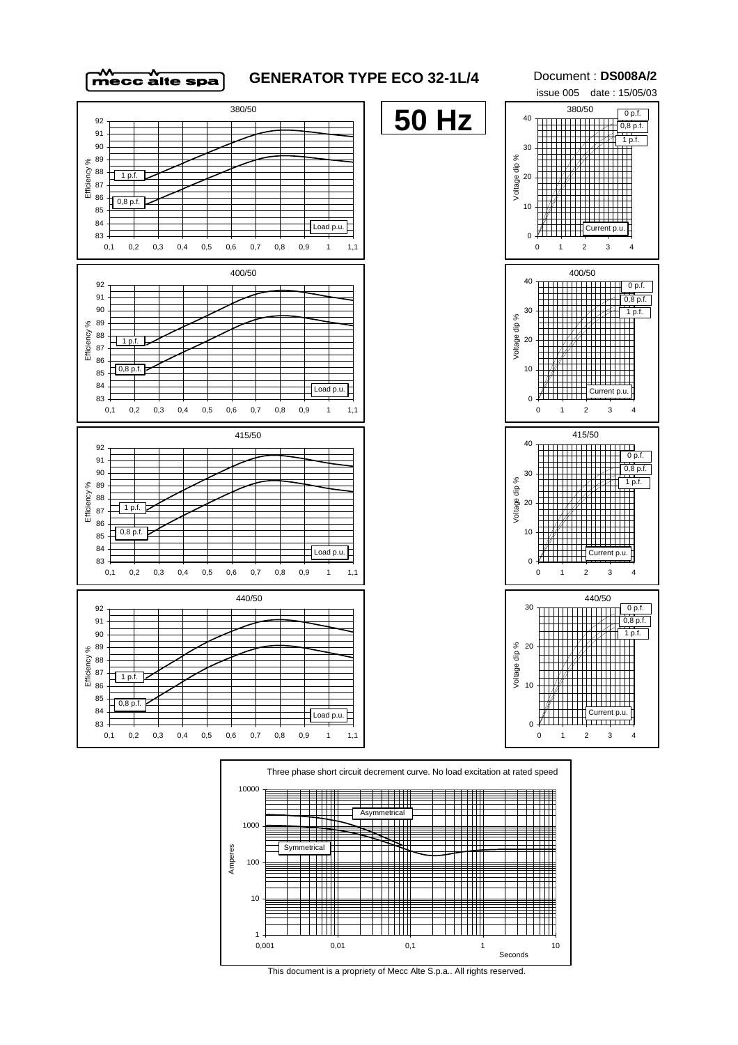

## **GENERATOR TYPE ECO 32-1L/4**

Document : **DS008A/2**

issue 005 date : 15/05/03 380/50 380/50 **50 Hz**  $0 p.f.$ 40 92 0,8 p.f. 91 1 p.f. 90 30 89 Voltage dip % 88 Efficiency %  $1 p.$ 20 87 86  $0,8 \text{ p.f.}$ 10 85 84 Load p.u. Current p.u. 83  $\Omega$ 0,1 0,2 0,3 0,4 0,5 0,6 0,7 0,8 0,9 1 1,1 0 1 2 3 4 400/50 400/50 40 92 0 p.f. 91  $0,8 \text{ p.f.}$ 90 30  $\frac{1}{1}$ nf Voltage dip % 89 88 Efficiency  $1<sub>p</sub>$ 20 87 86  $0,8 p.f.$ 10 85 84 Load p.u. Current p.u. 83  $\Omega$ 0,1 0,2 0,3 0,4 0,5 0,6 0,7 0,8 0,9 1 1,1 0 1 2 3 4 415/50 415/50 40 92 Ш  $0 p.f.$ 91  $0,8 \, \text{p.f.}$ 90 30  $\begin{array}{c}\n\overbrace{1 \text{ p.f.}} \\
\overbrace{1 \text{ p.f.}} \\
\overbrace{1 \text{ p.f.}}\n\end{array}$ 89 x Voltage dip % Efficiency % 88 20 1 p.f. 87 86 0,8 p.f. 10 85 84  $\overline{\bigcap_{\text{Load } p.u.}}$ Current p.u. 83  $\overline{0}$ 0,1 0,2 0,3 0,4 0,5 0,6 0,7 0,8 0,9 1 1,1 0 1 2 3 4 440/50 440/5092 30 0 p.f. 91 0,8 p.f. 90 1 p.f. 89 % 20<br><del>Jo</del>lenge<br>> 10 88 Efficiency % 87  $1 p.f$ 86 10 85  $0,8 \text{ p.f.}$ 84  $\begin{array}{|c|c|c|}\n\hline\n\text{Current p.u.} \\
\hline\n\text{Current p.u.} \\
\hline\n\end{array}$ Load p.u. 83 0 0,1 0,2 0,3 0,4 0,5 0,6 0,7 0,8 0,9 1 1,1 0 1 2 3 4



This document is a propriety of Mecc Alte S.p.a.. All rights reserved.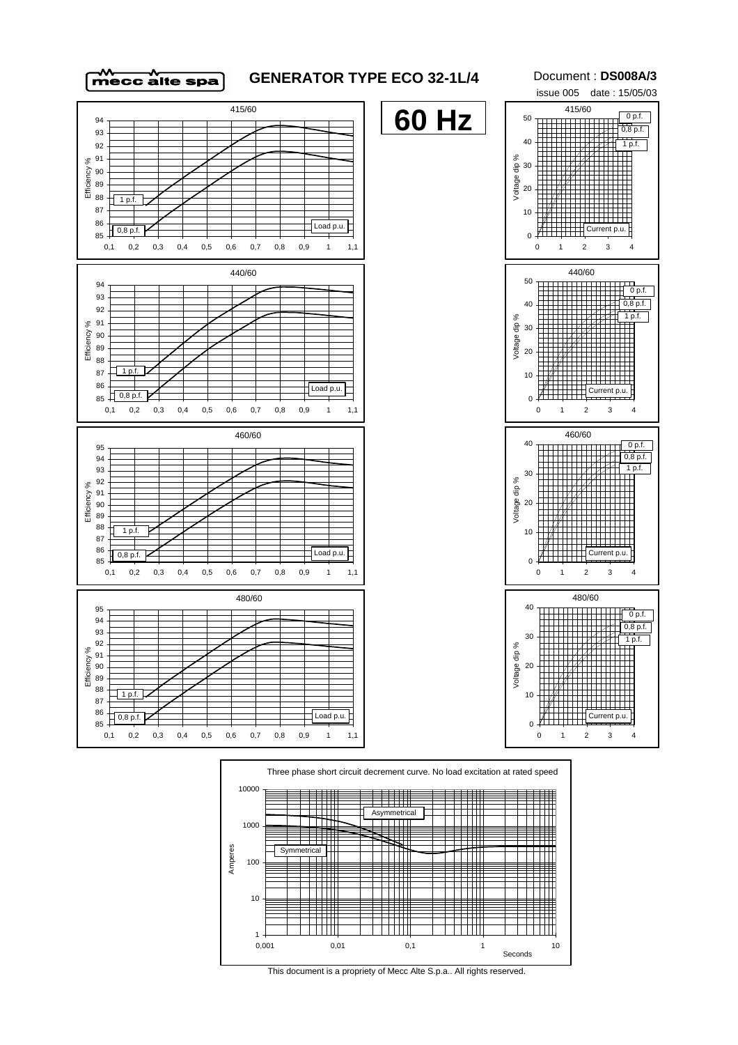



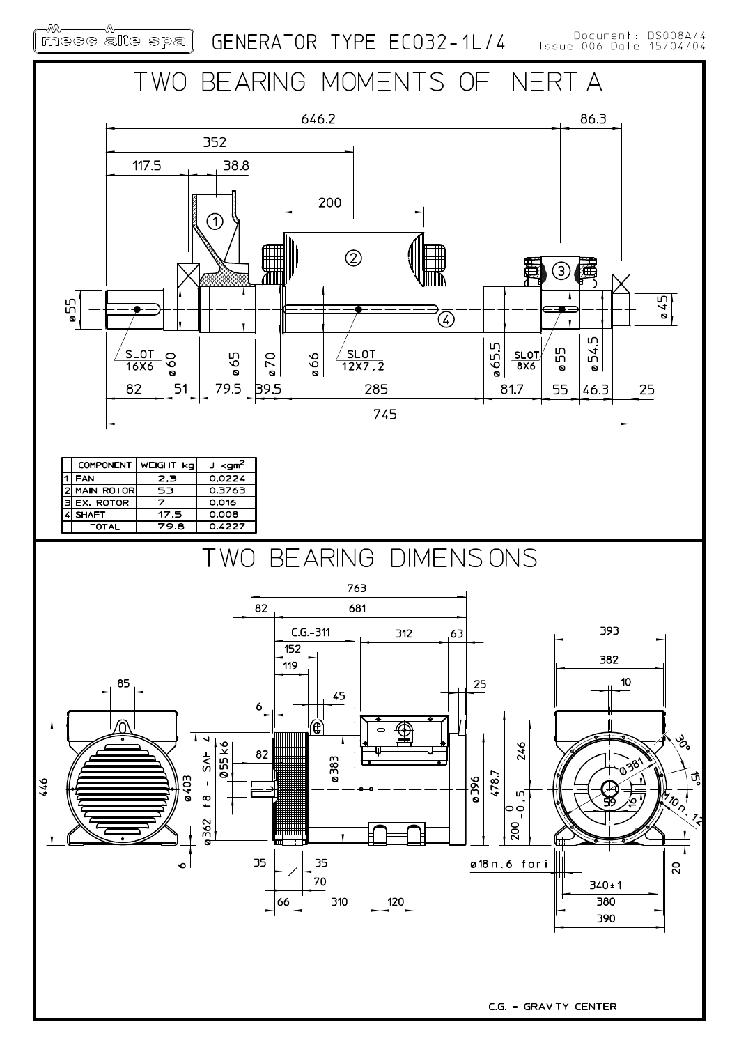